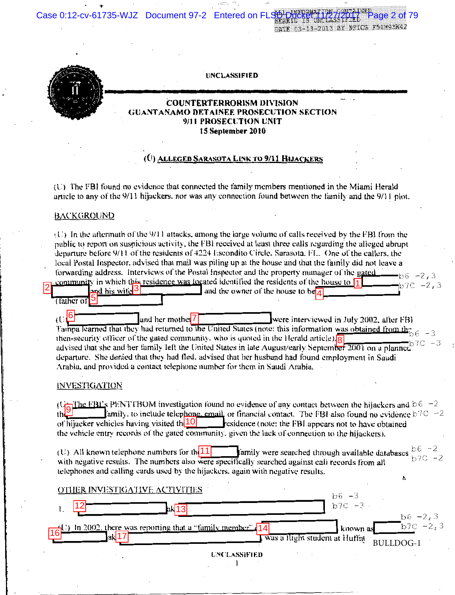Case 0:12-cv-61735-WJZ Document 97-2 Entered on FL

DATE 03-13-2013 BY NSICG F54M93K42

age 2 of 79



UNCLASSIFIED

### **COUNTERTERRORISM DIVISION GUANTANAMO DETAINEE PROSECUTION SECTION** 9/11 PROSECUTION UNIT 15 September 2010

## (Ú) Alleged Sarasota Link to 9/11 Hijackers

(U) The FBI found no evidence that connected the family members mentioned in the Miami Herald article to any of the 9/11 hijackers, nor was any connection found between the family and the 9/11 plot.

#### **BACKGROUND**

 $(U)$  In the aftermath of the 9/11 attacks, among the large volume of calls received by the FBI from the public to report on suspicious activity, the FBI received at least three calls regarding the alleged abrupt departure before 9/11 of the residents of 4224 Escondito Circle, Sarasota, FL. One of the callers, the local Postal Inspector, advised that mail was piling up at the house and that the family did not leave a forwarding address. Interviews of the Postal Inspector and the property manager of the gated  $66 - 2,3$ community in which this residence was located identified the residents of the house to  $\frac{1}{4}$ b7C -2,3

and the owner of the house to be and his wite<sup>3</sup> (father of

 $(1.6)$ and her mothe<sup>1</sup>7 were interviewed in July 2002, after FBI Tainpa learned that they had returned to the United States (note: this information was obtained from the then-security officer of the gated community, who is quoted in the Herald article)  $\sqrt{8}$ advised that she and her family left the United States in late August/early September 2001 on a planned departure. She denied that they had fled, advised that her husband had found employment in Saudi Arabia, and provided a contact telephone number for them in Saudi Arabia.

#### **INVESTIGATION**

(U<sub>2</sub>The FBCs PENTTBOM investigation found no evidence of any contact between the hijackers and  $\geq 6$  -2 **lamily**, to include telephone, email or financial contact. The FBI also found no evidence  $b^{7}C = 2$ thL of hijacker vehicles having visited th $|10|$  residence (note: the FBI appears not to have obtained the vehicle entry records of the gated community, given the lack of connection to the hijackers).

 $b6 -2$ (U) All known telephone numbers for th $|11|$ family were searched through available databases b7C -2 with negative results. The numbers also were specifically searched against call records from all telephones and calling cards used by the hijackers, again with negative results.

| OTHER INVESTIGATIVE ACTIVITIES                                    | $b6 - 3$ |                                    |
|-------------------------------------------------------------------|----------|------------------------------------|
|                                                                   | $b7C -3$ |                                    |
| ) In 2002, there was reporting that a "family member" $\sqrt{14}$ | known as | $b6 - 2, 3$<br>$\sqrt{b7C} - 2, 3$ |
| was a llight student at Huffn<br> a                               |          | <b>BULLDOG-1</b>                   |
| <b>UNCLASSIFIED</b>                                               |          |                                    |